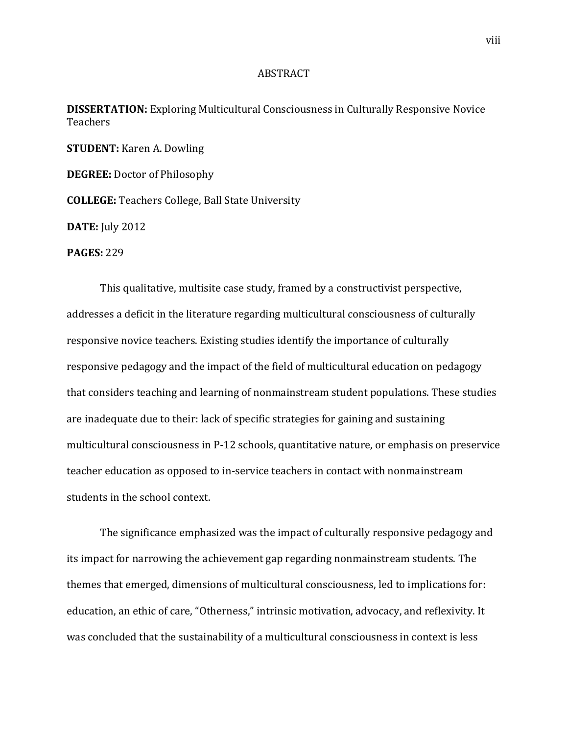## ABSTRACT

**DISSERTATION:** Exploring Multicultural Consciousness in Culturally Responsive Novice Teachers

**STUDENT:** Karen A. Dowling

**DEGREE:** Doctor of Philosophy

**COLLEGE:** Teachers College, Ball State University

**DATE:** July 2012

**PAGES:** 229

This qualitative, multisite case study, framed by a constructivist perspective, addresses a deficit in the literature regarding multicultural consciousness of culturally responsive novice teachers. Existing studies identify the importance of culturally responsive pedagogy and the impact of the field of multicultural education on pedagogy that considers teaching and learning of nonmainstream student populations. These studies are inadequate due to their: lack of specific strategies for gaining and sustaining multicultural consciousness in P-12 schools, quantitative nature, or emphasis on preservice teacher education as opposed to in-service teachers in contact with nonmainstream students in the school context.

The significance emphasized was the impact of culturally responsive pedagogy and its impact for narrowing the achievement gap regarding nonmainstream students. The themes that emerged, dimensions of multicultural consciousness, led to implications for: education, an ethic of care, "Otherness," intrinsic motivation, advocacy, and reflexivity. It was concluded that the sustainability of a multicultural consciousness in context is less